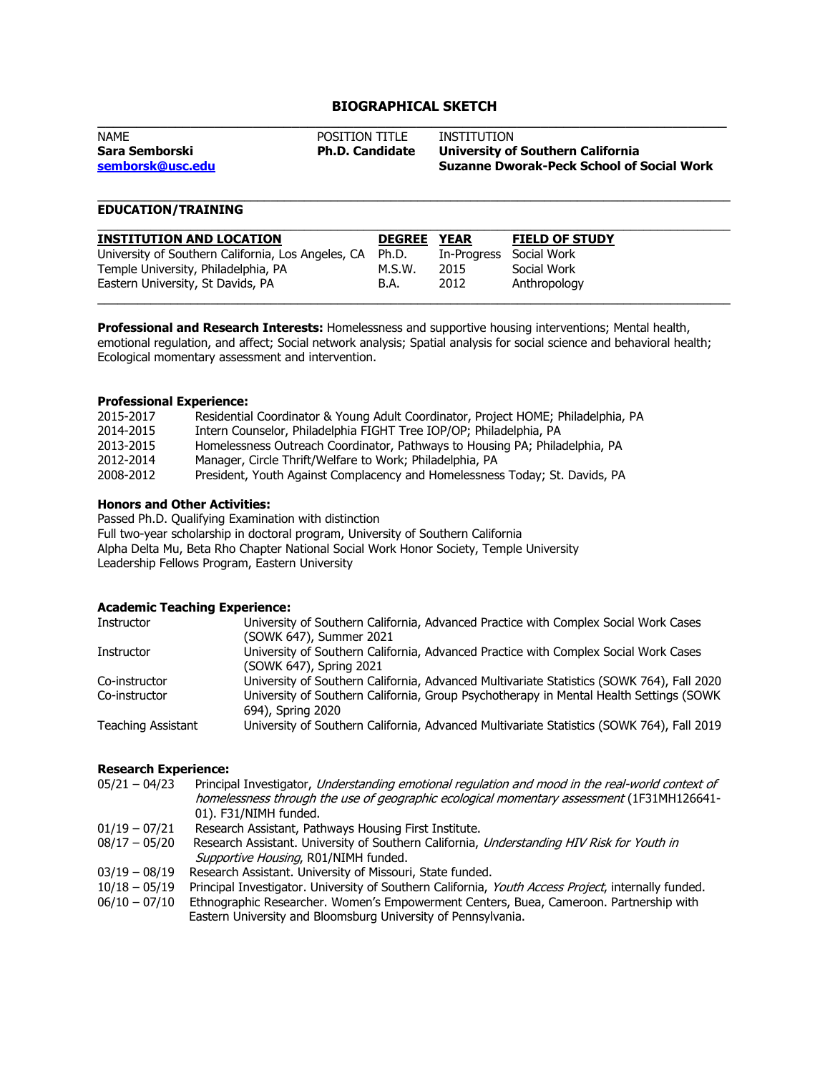# **BIOGRAPHICAL SKETCH**

| <b>NAME</b>                        | <b>POSITION TITLE</b>  | INSTITUTION                                                                           |
|------------------------------------|------------------------|---------------------------------------------------------------------------------------|
| Sara Semborski<br>semborsk@usc.edu | <b>Ph.D. Candidate</b> | University of Southern California<br><b>Suzanne Dworak-Peck School of Social Work</b> |
|                                    |                        |                                                                                       |

\_\_\_\_\_\_\_\_\_\_\_\_\_\_\_\_\_\_\_\_\_\_\_\_\_\_\_\_\_\_\_\_\_\_\_\_\_\_\_\_\_\_\_\_\_\_\_\_\_\_\_\_\_\_\_\_\_\_\_\_\_\_\_\_\_\_\_\_\_\_\_\_\_\_\_\_\_\_\_\_\_\_\_\_\_\_\_\_\_\_\_\_\_\_\_

## **EDUCATION/TRAINING**

| <b>INSTITUTION AND LOCATION</b>                    | <b>DEGREE</b> | <b>YEAR</b> | <b>FIELD OF STUDY</b> |
|----------------------------------------------------|---------------|-------------|-----------------------|
| University of Southern California, Los Angeles, CA | Ph.D.         | In-Progress | Social Work           |
| Temple University, Philadelphia, PA                | M.S.W.        | 2015        | Social Work           |
| Eastern University, St Davids, PA                  | B.A.          | 2012        | Anthropology          |

**Professional and Research Interests:** Homelessness and supportive housing interventions; Mental health, emotional regulation, and affect; Social network analysis; Spatial analysis for social science and behavioral health; Ecological momentary assessment and intervention.

#### **Professional Experience:**

| Residential Coordinator & Young Adult Coordinator, Project HOME; Philadelphia, PA |
|-----------------------------------------------------------------------------------|
| Intern Counselor, Philadelphia FIGHT Tree IOP/OP; Philadelphia, PA                |
| Homelessness Outreach Coordinator, Pathways to Housing PA; Philadelphia, PA       |
| Manager, Circle Thrift/Welfare to Work; Philadelphia, PA                          |
| President, Youth Against Complacency and Homelessness Today; St. Davids, PA       |
|                                                                                   |

#### **Honors and Other Activities:**

Passed Ph.D. Qualifying Examination with distinction Full two-year scholarship in doctoral program, University of Southern California Alpha Delta Mu, Beta Rho Chapter National Social Work Honor Society, Temple University Leadership Fellows Program, Eastern University

## **Academic Teaching Experience:**

| Instructor                | University of Southern California, Advanced Practice with Complex Social Work Cases       |
|---------------------------|-------------------------------------------------------------------------------------------|
|                           | (SOWK 647), Summer 2021                                                                   |
| Instructor                | University of Southern California, Advanced Practice with Complex Social Work Cases       |
|                           | (SOWK 647), Spring 2021                                                                   |
| Co-instructor             | University of Southern California, Advanced Multivariate Statistics (SOWK 764), Fall 2020 |
| Co-instructor             | University of Southern California, Group Psychotherapy in Mental Health Settings (SOWK)   |
|                           | 694), Spring 2020                                                                         |
| <b>Teaching Assistant</b> | University of Southern California, Advanced Multivariate Statistics (SOWK 764), Fall 2019 |
|                           |                                                                                           |

### **Research Experience:**

| $05/21 - 04/23$ | Principal Investigator, Understanding emotional regulation and mood in the real-world context of |
|-----------------|--------------------------------------------------------------------------------------------------|
|                 | homelessness through the use of geographic ecological momentary assessment (1F31MH126641-        |
|                 | 01). F31/NIMH funded.                                                                            |
| $01/19 - 07/21$ | Research Assistant, Pathways Housing First Institute.                                            |
| $08/17 - 05/20$ | Research Assistant. University of Southern California, Understanding HIV Risk for Youth in       |
|                 | Supportive Housing, R01/NIMH funded.                                                             |
|                 | 03/19 - 08/19 Research Assistant. University of Missouri, State funded.                          |
|                 |                                                                                                  |

- 10/18 05/19 Principal Investigator. University of Southern California, Youth Access Project, internally funded.
- 06/10 07/10 Ethnographic Researcher. Women's Empowerment Centers, Buea, Cameroon. Partnership with Eastern University and Bloomsburg University of Pennsylvania.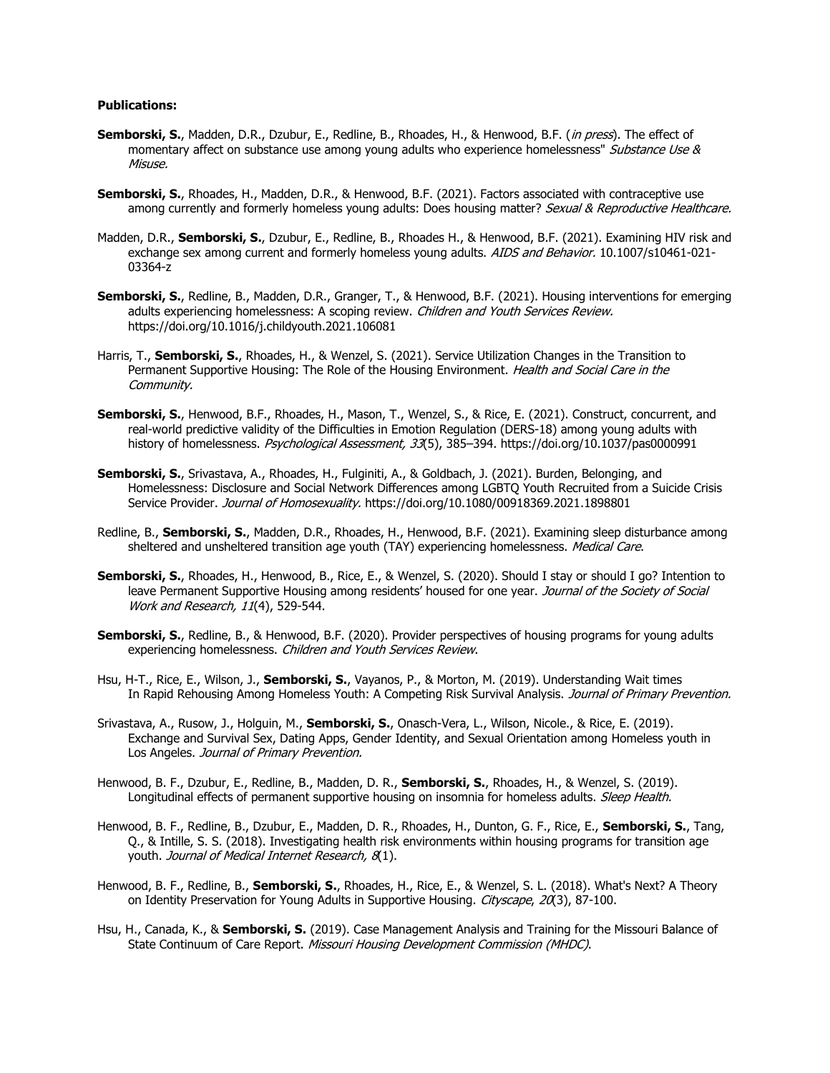### **Publications:**

- **Semborski, S.**, Madden, D.R., Dzubur, E., Redline, B., Rhoades, H., & Henwood, B.F. (in press). The effect of momentary affect on substance use among young adults who experience homelessness" Substance Use & Misuse.
- **Semborski, S.**, Rhoades, H., Madden, D.R., & Henwood, B.F. (2021). Factors associated with contraceptive use among currently and formerly homeless young adults: Does housing matter? Sexual & Reproductive Healthcare.
- Madden, D.R., **Semborski, S.**, Dzubur, E., Redline, B., Rhoades H., & Henwood, B.F. (2021). Examining HIV risk and exchange sex among current and formerly homeless young adults. AIDS and Behavior. 10.1007/s10461-021-03364-z
- **Semborski, S.**, Redline, B., Madden, D.R., Granger, T., & Henwood, B.F. (2021). Housing interventions for emerging adults experiencing homelessness: A scoping review. Children and Youth Services Review. https://doi.org/10.1016/j.childyouth.2021.106081
- Harris, T., **Semborski, S.**, Rhoades, H., & Wenzel, S. (2021). Service Utilization Changes in the Transition to Permanent Supportive Housing: The Role of the Housing Environment. Health and Social Care in the Community.
- **Semborski, S.**, Henwood, B.F., Rhoades, H., Mason, T., Wenzel, S., & Rice, E. (2021). Construct, concurrent, and real-world predictive validity of the Difficulties in Emotion Regulation (DERS-18) among young adults with history of homelessness. Psychological Assessment, 33(5), 385-394. https://doi.org/10.1037/pas0000991
- **Semborski, S.**, Srivastava, A., Rhoades, H., Fulginiti, A., & Goldbach, J. (2021). Burden, Belonging, and Homelessness: Disclosure and Social Network Differences among LGBTQ Youth Recruited from a Suicide Crisis Service Provider. Journal of Homosexuality. https://doi.org/10.1080/00918369.2021.1898801
- Redline, B., **Semborski, S.**, Madden, D.R., Rhoades, H., Henwood, B.F. (2021). Examining sleep disturbance among sheltered and unsheltered transition age youth (TAY) experiencing homelessness. *Medical Care*.
- **Semborski, S.**, Rhoades, H., Henwood, B., Rice, E., & Wenzel, S. (2020). Should I stay or should I go? Intention to leave Permanent Supportive Housing among residents' housed for one year. Journal of the Society of Social Work and Research, 11(4), 529-544.
- **Semborski, S.**, Redline, B., & Henwood, B.F. (2020). Provider perspectives of housing programs for young adults experiencing homelessness. Children and Youth Services Review.
- Hsu, H-T., Rice, E., Wilson, J., **Semborski, S.**, Vayanos, P., & Morton, M. (2019). Understanding Wait times In Rapid Rehousing Among Homeless Youth: A Competing Risk Survival Analysis. Journal of Primary Prevention.
- Srivastava, A., Rusow, J., Holguin, M., **Semborski, S.**, Onasch-Vera, L., Wilson, Nicole., & Rice, E. (2019). Exchange and Survival Sex, Dating Apps, Gender Identity, and Sexual Orientation among Homeless youth in Los Angeles. Journal of Primary Prevention.
- Henwood, B. F., Dzubur, E., Redline, B., Madden, D. R., **Semborski, S.**, Rhoades, H., & Wenzel, S. (2019). Longitudinal effects of permanent supportive housing on insomnia for homeless adults. Sleep Health.
- Henwood, B. F., Redline, B., Dzubur, E., Madden, D. R., Rhoades, H., Dunton, G. F., Rice, E., **Semborski, S.**, Tang, Q., & Intille, S. S. (2018). Investigating health risk environments within housing programs for transition age youth. Journal of Medical Internet Research, 8(1).
- Henwood, B. F., Redline, B., **Semborski, S.**, Rhoades, H., Rice, E., & Wenzel, S. L. (2018). What's Next? A Theory on Identity Preservation for Young Adults in Supportive Housing. Cityscape, 20(3), 87-100.
- Hsu, H., Canada, K., & **Semborski, S.** (2019). Case Management Analysis and Training for the Missouri Balance of State Continuum of Care Report. Missouri Housing Development Commission (MHDC).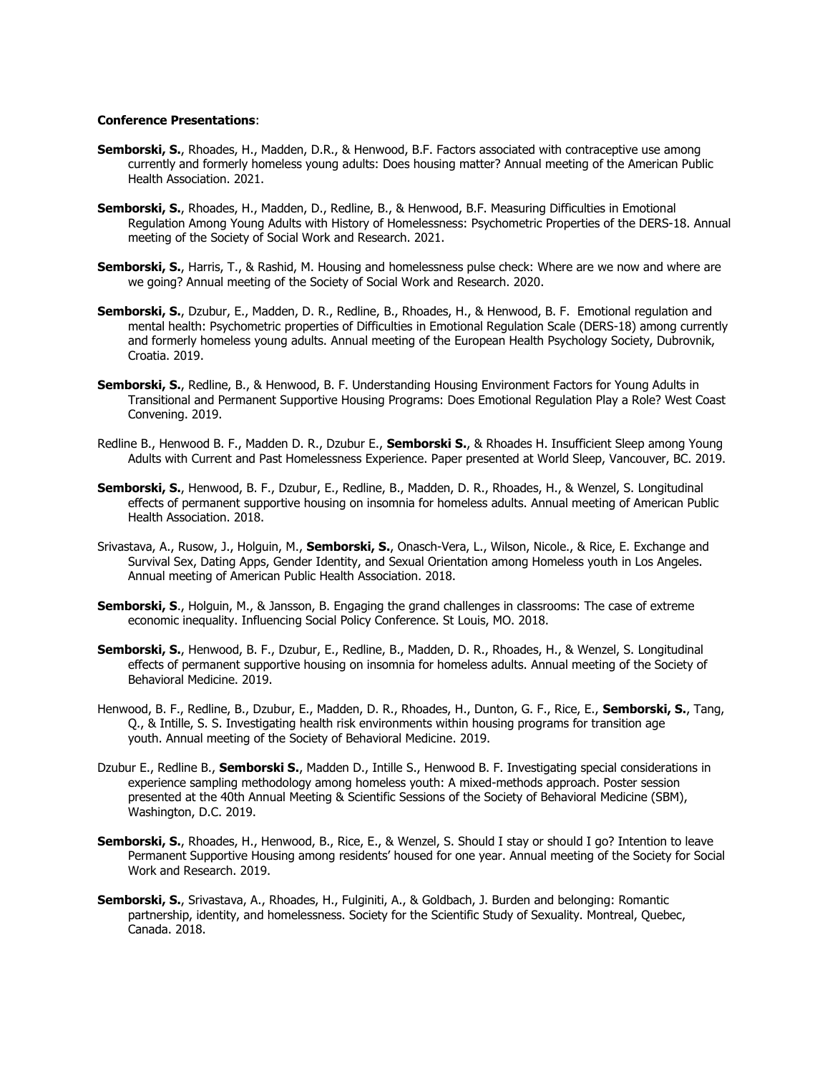#### **Conference Presentations**:

- **Semborski, S.**, Rhoades, H., Madden, D.R., & Henwood, B.F. Factors associated with contraceptive use among currently and formerly homeless young adults: Does housing matter? Annual meeting of the American Public Health Association. 2021.
- **Semborski, S.**, Rhoades, H., Madden, D., Redline, B., & Henwood, B.F. Measuring Difficulties in Emotional Regulation Among Young Adults with History of Homelessness: Psychometric Properties of the DERS-18. Annual meeting of the Society of Social Work and Research. 2021.
- **Semborski, S.**, Harris, T., & Rashid, M. Housing and homelessness pulse check: Where are we now and where are we going? Annual meeting of the Society of Social Work and Research. 2020.
- **Semborski, S.**, Dzubur, E., Madden, D. R., Redline, B., Rhoades, H., & Henwood, B. F. Emotional regulation and mental health: Psychometric properties of Difficulties in Emotional Regulation Scale (DERS-18) among currently and formerly homeless young adults. Annual meeting of the European Health Psychology Society, Dubrovnik, Croatia. 2019.
- **Semborski, S.**, Redline, B., & Henwood, B. F. Understanding Housing Environment Factors for Young Adults in Transitional and Permanent Supportive Housing Programs: Does Emotional Regulation Play a Role? West Coast Convening. 2019.
- Redline B., Henwood B. F., Madden D. R., Dzubur E., **Semborski S.**, & Rhoades H. Insufficient Sleep among Young Adults with Current and Past Homelessness Experience. Paper presented at World Sleep, Vancouver, BC. 2019.
- **Semborski, S.**, Henwood, B. F., Dzubur, E., Redline, B., Madden, D. R., Rhoades, H., & Wenzel, S. Longitudinal effects of permanent supportive housing on insomnia for homeless adults. Annual meeting of American Public Health Association. 2018.
- Srivastava, A., Rusow, J., Holguin, M., **Semborski, S.**, Onasch-Vera, L., Wilson, Nicole., & Rice, E. Exchange and Survival Sex, Dating Apps, Gender Identity, and Sexual Orientation among Homeless youth in Los Angeles. Annual meeting of American Public Health Association. 2018.
- **Semborski, S**., Holguin, M., & Jansson, B. Engaging the grand challenges in classrooms: The case of extreme economic inequality. Influencing Social Policy Conference. St Louis, MO. 2018.
- **Semborski, S.**, Henwood, B. F., Dzubur, E., Redline, B., Madden, D. R., Rhoades, H., & Wenzel, S. Longitudinal effects of permanent supportive housing on insomnia for homeless adults. Annual meeting of the Society of Behavioral Medicine. 2019.
- Henwood, B. F., Redline, B., Dzubur, E., Madden, D. R., Rhoades, H., Dunton, G. F., Rice, E., **Semborski, S.**, Tang, Q., & Intille, S. S. Investigating health risk environments within housing programs for transition age youth. Annual meeting of the Society of Behavioral Medicine. 2019.
- Dzubur E., Redline B., **Semborski S.**, Madden D., Intille S., Henwood B. F. Investigating special considerations in experience sampling methodology among homeless youth: A mixed-methods approach. Poster session presented at the 40th Annual Meeting & Scientific Sessions of the Society of Behavioral Medicine (SBM), Washington, D.C. 2019.
- **Semborski, S.**, Rhoades, H., Henwood, B., Rice, E., & Wenzel, S. Should I stay or should I go? Intention to leave Permanent Supportive Housing among residents' housed for one year. Annual meeting of the Society for Social Work and Research. 2019.
- **Semborski, S.**, Srivastava, A., Rhoades, H., Fulginiti, A., & Goldbach, J. Burden and belonging: Romantic partnership, identity, and homelessness. Society for the Scientific Study of Sexuality. Montreal, Quebec, Canada. 2018.